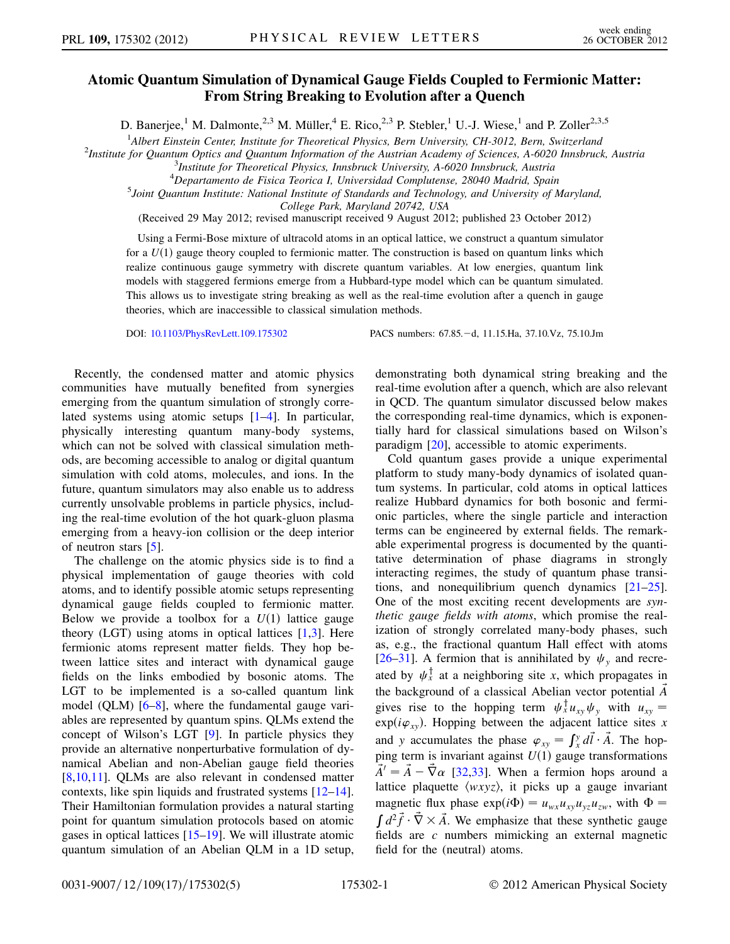## Atomic Quantum Simulation of Dynamical Gauge Fields Coupled to Fermionic Matter: From String Breaking to Evolution after a Quench

D. Banerjee,<sup>1</sup> M. Dalmonte,<sup>2,3</sup> M. Müller,<sup>4</sup> E. Rico,<sup>2,3</sup> P. Stebler,<sup>1</sup> U.-J. Wiese,<sup>1</sup> and P. Zoller<sup>2,3,5</sup>

<sup>1</sup>Albert Einstein Center, Institute for Theoretical Physics, Bern University, CH-3012, Bern, Switzerland<br><sup>2</sup>Institute for Quantum Ontics and Quantum Information of the Austrian Academy of Sciences, A 6020 Innshruci

<sup>2</sup>Institute for Quantum Optics and Quantum Information of the Austrian Academy of Sciences, A-6020 Innsbruck, Austria  $3$ Institute for Theoretical Physics, Innsbruck University, A-6020 Innsbruck, Austria

<sup>3</sup>Institute for Theoretical Physics, Innsbruck University, A-6020 Innsbruck, Austria  $^{4}$ Departamento de Fisica Teorica I, Universidad Complutance, 28040 Madrid, Spai

<sup>4</sup>Departamento de Fisica Teorica I, Universidad Complutense, 28040 Madrid, Spain<br>5 Loint Quantum Institute: National Institute of Standards and Technology, and University of N

 $<sup>5</sup> Joint Quantum Institute: National Institute of Standards and Technology, and University of Maryland,$ </sup>

College Park, Maryland 20742, USA

(Received 29 May 2012; revised manuscript received 9 August 2012; published 23 October 2012)

Using a Fermi-Bose mixture of ultracold atoms in an optical lattice, we construct a quantum simulator for a  $U(1)$  gauge theory coupled to fermionic matter. The construction is based on quantum links which realize continuous gauge symmetry with discrete quantum variables. At low energies, quantum link models with staggered fermions emerge from a Hubbard-type model which can be quantum simulated. This allows us to investigate string breaking as well as the real-time evolution after a quench in gauge theories, which are inaccessible to classical simulation methods.

DOI: [10.1103/PhysRevLett.109.175302](http://dx.doi.org/10.1103/PhysRevLett.109.175302) PACS numbers: 67.85.d, 11.15.Ha, 37.10.Vz, 75.10.Jm

Recently, the condensed matter and atomic physics communities have mutually benefited from synergies emerging from the quantum simulation of strongly correlated systems using atomic setups [\[1](#page-4-0)–[4\]](#page-4-1). In particular, physically interesting quantum many-body systems, which can not be solved with classical simulation methods, are becoming accessible to analog or digital quantum simulation with cold atoms, molecules, and ions. In the future, quantum simulators may also enable us to address currently unsolvable problems in particle physics, including the real-time evolution of the hot quark-gluon plasma emerging from a heavy-ion collision or the deep interior of neutron stars [\[5\]](#page-4-2).

The challenge on the atomic physics side is to find a physical implementation of gauge theories with cold atoms, and to identify possible atomic setups representing dynamical gauge fields coupled to fermionic matter. Below we provide a toolbox for a  $U(1)$  lattice gauge theory  $(LGT)$  using atoms in optical lattices  $[1,3]$  $[1,3]$  $[1,3]$ . Here fermionic atoms represent matter fields. They hop between lattice sites and interact with dynamical gauge fields on the links embodied by bosonic atoms. The LGT to be implemented is a so-called quantum link model (QLM) [[6](#page-4-4)[–8\]](#page-4-5), where the fundamental gauge variables are represented by quantum spins. QLMs extend the concept of Wilson's LGT [\[9](#page-4-6)]. In particle physics they provide an alternative nonperturbative formulation of dynamical Abelian and non-Abelian gauge field theories [\[8,](#page-4-5)[10](#page-4-7)[,11\]](#page-4-8). QLMs are also relevant in condensed matter contexts, like spin liquids and frustrated systems [[12](#page-4-9)–[14\]](#page-4-10). Their Hamiltonian formulation provides a natural starting point for quantum simulation protocols based on atomic gases in optical lattices [\[15–](#page-4-11)[19](#page-4-12)]. We will illustrate atomic quantum simulation of an Abelian QLM in a 1D setup, demonstrating both dynamical string breaking and the real-time evolution after a quench, which are also relevant in QCD. The quantum simulator discussed below makes the corresponding real-time dynamics, which is exponentially hard for classical simulations based on Wilson's paradigm [[20](#page-4-13)], accessible to atomic experiments.

Cold quantum gases provide a unique experimental platform to study many-body dynamics of isolated quantum systems. In particular, cold atoms in optical lattices realize Hubbard dynamics for both bosonic and fermionic particles, where the single particle and interaction terms can be engineered by external fields. The remarkable experimental progress is documented by the quantitative determination of phase diagrams in strongly interacting regimes, the study of quantum phase transitions, and nonequilibrium quench dynamics [[21](#page-4-14)–[25\]](#page-4-15). One of the most exciting recent developments are synthetic gauge fields with atoms, which promise the realization of strongly correlated many-body phases, such as, e.g., the fractional quantum Hall effect with atoms [\[26–](#page-4-16)[31\]](#page-4-17). A fermion that is annihilated by  $\psi$ <sub>y</sub> and recreated by  $\psi_x^{\dagger}$  at a neighboring site x, which propagates in the background of a classical Abelian vector potential  $\vec{A}$ gives rise to the hopping term  $\psi_x^{\dagger} u_{xy} \psi_y$  with  $u_{xy} =$  $\exp(i\varphi_{xy})$ . Hopping between the adjacent lattice sites x and y accumulates the phase  $\varphi_{xy} = \int_x^y d\vec{l} \cdot \vec{A}$ . The hopping term is invariant against  $U(1)$  gauge transformations  $\vec{A}' = \vec{A} - \vec{\nabla}\alpha$  [[32,](#page-4-18)[33](#page-4-19)]. When a fermion hops around a lattice plaquette  $\langle wxyz \rangle$ , it picks up a gauge invariant magnetic flux phase  $\exp(i\Phi) = u_{wx}u_{xy}u_{yz}u_{zw}$ , with  $\Phi =$  $\int d^2 \vec{f} \cdot \vec{\nabla} \times \vec{A}$ . We emphasize that these synthetic gauge fields are c numbers mimicking an external magnetic field for the (neutral) atoms.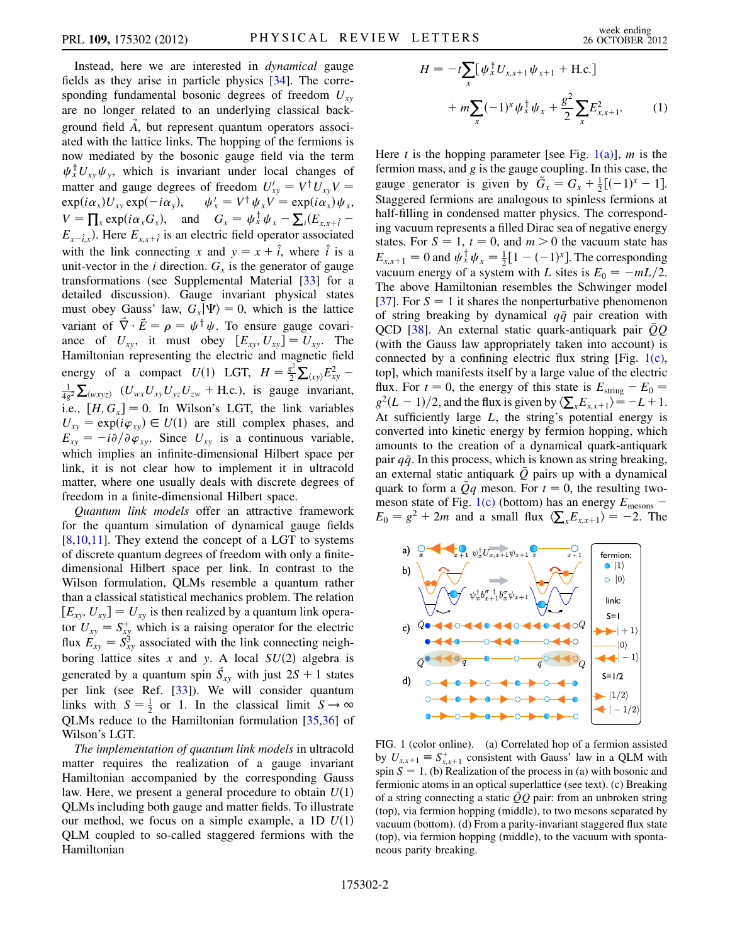Instead, here we are interested in dynamical gauge fields as they arise in particle physics [\[34\]](#page-4-20). The corresponding fundamental bosonic degrees of freedom  $U_{xy}$ are no longer related to an underlying classical background field  $\vec{A}$ , but represent quantum operators associated with the lattice links. The hopping of the fermions is now mediated by the bosonic gauge field via the term  $\psi_x^{\dagger} U_{xy} \psi_y$ , which is invariant under local changes of matter and gauge degrees of freedom  $U'_{xy} = V^{\dagger} U_{xy} V =$  $exp(i\alpha_x)U_{xy}\exp(-i\alpha_y), \quad \psi'_x = V^{\dagger}\psi_xV = \exp(i\alpha_x)\psi_x,$  $V = \prod_x \exp(i\alpha_x G_x)$ , and  $G_x = \psi_x^{\dagger} \psi_x - \sum_i (E_{x,x+\hat{i}} E_{x-\hat{i},x}$ ). Here  $E_{x,x+\hat{i}}$  is an electric field operator associated with the link connecting x and  $y = x + \hat{i}$ , where  $\hat{i}$  is a unit-vector in the *i* direction.  $G<sub>x</sub>$  is the generator of gauge transformations (see Supplemental Material [[33](#page-4-19)] for a detailed discussion). Gauge invariant physical states must obey Gauss' law,  $G_x|\Psi\rangle = 0$ , which is the lattice variant of  $\vec{\nabla} \cdot \vec{E} = \rho = \psi^{\dagger} \psi$ . To ensure gauge covariance of  $U_{xy}$ , it must obey  $[E_{xy}, U_{xy}] = U_{xy}$ . The Hamiltonian representing the electric and magnetic field energy of a compact  $U(1)$  LGT,  $H = \frac{g^2}{2} \sum_{\langle xy \rangle} E_{xy}^2$  –  $\frac{1}{4g^2} \sum_{\langle wxyz \rangle} (U_{wx}U_{xy}U_{yz}U_{zw} + \text{H.c.}),$  is gauge invariant, i.e.,  $[H, G_x] = 0$ . In Wilson's LGT, the link variables  $U_{xy} = \exp(i\varphi_{xy}) \in U(1)$  are still complex phases, and  $E_{xy} = -i\partial/\partial \varphi_{xy}$ . Since  $U_{xy}$  is a continuous variable, which implies an infinite-dimensional Hilbert space per link, it is not clear how to implement it in ultracold matter, where one usually deals with discrete degrees of freedom in a finite-dimensional Hilbert space.

Quantum link models offer an attractive framework for the quantum simulation of dynamical gauge fields [\[8,](#page-4-5)[10](#page-4-7)[,11\]](#page-4-8). They extend the concept of a LGT to systems of discrete quantum degrees of freedom with only a finitedimensional Hilbert space per link. In contrast to the Wilson formulation, QLMs resemble a quantum rather than a classical statistical mechanics problem. The relation  $[E_{xy}, U_{xy}] = U_{xy}$  is then realized by a quantum link operator  $U_{xy} = S_{xy}^{+}$  which is a raising operator for the electric flux  $E_{xy} = S_{xy}^3$  associated with the link connecting neighboring lattice sites x and y. A local  $SU(2)$  algebra is generated by a quantum spin  $\vec{S}_{xy}$  with just  $2S + 1$  states per link (see Ref. [\[33\]](#page-4-19)). We will consider quantum links with  $S = \frac{1}{2}$  or 1. In the classical limit  $S \rightarrow \infty$ QLMs reduce to the Hamiltonian formulation [\[35](#page-4-21)[,36\]](#page-4-22) of Wilson's LGT.

The implementation of quantum link models in ultracold matter requires the realization of a gauge invariant Hamiltonian accompanied by the corresponding Gauss law. Here, we present a general procedure to obtain  $U(1)$ QLMs including both gauge and matter fields. To illustrate our method, we focus on a simple example, a 1D  $U(1)$ QLM coupled to so-called staggered fermions with the Hamiltonian

<span id="page-1-1"></span>
$$
H = -t\sum_{x} [\psi_x^{\dagger} U_{x,x+1} \psi_{x+1} + \text{H.c.}]
$$
  
+  $m\sum_{x} (-1)^x \psi_x^{\dagger} \psi_x + \frac{g^2}{2} \sum_{x} E_{x,x+1}^2.$  (1)

Here t is the hopping parameter [see Fig.  $1(a)$ ], m is the fermion mass, and  $g$  is the gauge coupling. In this case, the gauge generator is given by  $\tilde{G}_x = G_x + \frac{1}{2} [(-1)^x - 1]$ . Staggered fermions are analogous to spinless fermions at half-filling in condensed matter physics. The corresponding vacuum represents a filled Dirac sea of negative energy states. For  $S = 1$ ,  $t = 0$ , and  $m > 0$  the vacuum state has  $E_{x,x+1} = 0$  and  $\psi_x^{\dagger} \psi_x = \frac{1}{2} [1 - (-1)^x]$ . The corresponding vacuum energy of a system with L sites is  $E_0 = -mL/2$ . The above Hamiltonian resembles the Schwinger model [\[37\]](#page-4-23). For  $S = 1$  it shares the nonperturbative phenomenon of string breaking by dynamical  $q\bar{q}$  pair creation with QCD [\[38\]](#page-4-24). An external static quark-antiquark pair QQ (with the Gauss law appropriately taken into account) is connected by a confining electric flux string [Fig.  $1(c)$ , top], which manifests itself by a large value of the electric flux. For  $t = 0$ , the energy of this state is  $E_{string} - E_0 =$  $g^2(L-1)/2$ , and the flux is given by  $\langle \sum_{x} E_{x,x+1} \rangle = -L+1$ . At sufficiently large  $L$ , the string's potential energy is converted into kinetic energy by fermion hopping, which amounts to the creation of a dynamical quark-antiquark pair  $q\bar{q}$ . In this process, which is known as string breaking, an external static antiquark  $Q$  pairs up with a dynamical quark to form a  $Qq$  meson. For  $t = 0$ , the resulting two-meson state of Fig. [1\(c\)](#page-1-0) (bottom) has an energy  $E_{\text{mesons}}$  –  $E_0 = g^2 + 2m$  and a small flux  $\langle \sum_x E_{x,x+1} \rangle = -2$ . The



<span id="page-1-0"></span>FIG. 1 (color online). (a) Correlated hop of a fermion assisted by  $U_{x,x+1} \equiv S_{x,x+1}^+$  consistent with Gauss' law in a QLM with spin  $S = 1$ . (b) Realization of the process in (a) with bosonic and fermionic atoms in an optical superlattice (see text). (c) Breaking of a string connecting a static  $\overline{Q}Q$  pair: from an unbroken string (top), via fermion hopping (middle), to two mesons separated by vacuum (bottom). (d) From a parity-invariant staggered flux state (top), via fermion hopping (middle), to the vacuum with spontaneous parity breaking.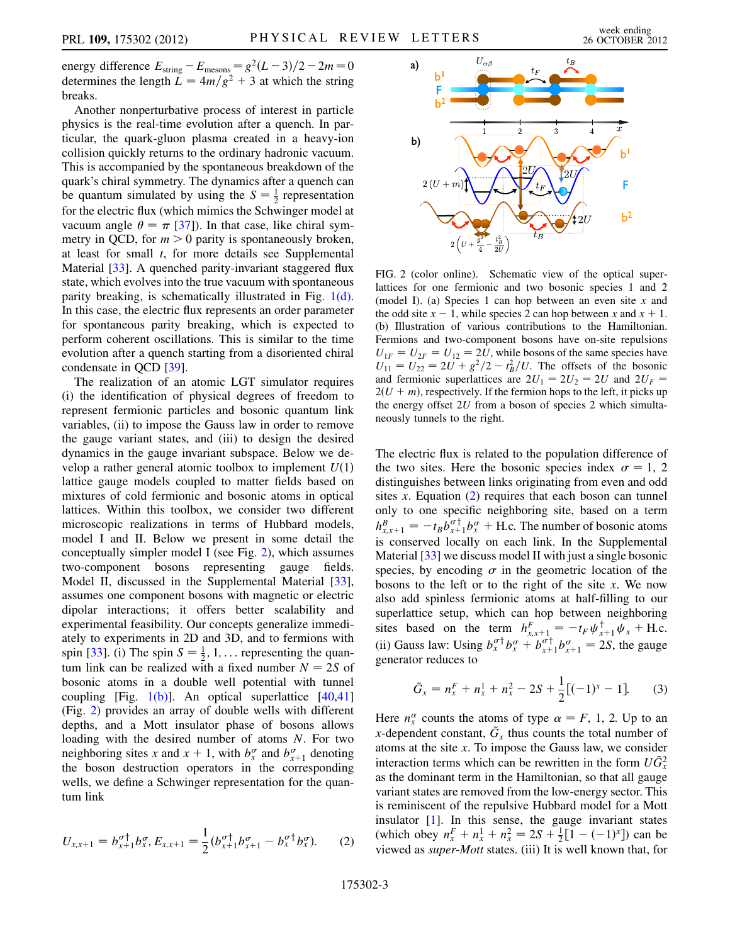energy difference  $E_{\text{string}}-E_{\text{mesons}}=g^2(L-3)/2-2m=0$ determines the length  $L = 4m/g^2 + 3$  at which the string breaks.

Another nonperturbative process of interest in particle physics is the real-time evolution after a quench. In particular, the quark-gluon plasma created in a heavy-ion collision quickly returns to the ordinary hadronic vacuum. This is accompanied by the spontaneous breakdown of the quark's chiral symmetry. The dynamics after a quench can be quantum simulated by using the  $S = \frac{1}{2}$  representation for the electric flux (which mimics the Schwinger model at vacuum angle  $\theta = \pi$  [[37](#page-4-23)]). In that case, like chiral symmetry in OCD, for  $m > 0$  parity is spontaneously broken, at least for small  $t$ , for more details see Supplemental Material [\[33\]](#page-4-19). A quenched parity-invariant staggered flux state, which evolves into the true vacuum with spontaneous parity breaking, is schematically illustrated in Fig.  $1(d)$ . In this case, the electric flux represents an order parameter for spontaneous parity breaking, which is expected to perform coherent oscillations. This is similar to the time evolution after a quench starting from a disoriented chiral condensate in QCD [\[39\]](#page-4-25).

The realization of an atomic LGT simulator requires (i) the identification of physical degrees of freedom to represent fermionic particles and bosonic quantum link variables, (ii) to impose the Gauss law in order to remove the gauge variant states, and (iii) to design the desired dynamics in the gauge invariant subspace. Below we develop a rather general atomic toolbox to implement  $U(1)$ lattice gauge models coupled to matter fields based on mixtures of cold fermionic and bosonic atoms in optical lattices. Within this toolbox, we consider two different microscopic realizations in terms of Hubbard models, model I and II. Below we present in some detail the conceptually simpler model I (see Fig. [2](#page-2-0)), which assumes two-component bosons representing gauge fields. Model II, discussed in the Supplemental Material [\[33\]](#page-4-19), assumes one component bosons with magnetic or electric dipolar interactions; it offers better scalability and experimental feasibility. Our concepts generalize immediately to experiments in 2D and 3D, and to fermions with spin [[33](#page-4-19)]. (i) The spin  $S = \frac{1}{2}$ , 1, ... representing the quantum link can be realized with a fixed number  $N = 2S$  of bosonic atoms in a double well potential with tunnel coupling [Fig. [1\(b\)\]](#page-1-0). An optical superlattice  $[40,41]$  $[40,41]$ (Fig. [2](#page-2-0)) provides an array of double wells with different depths, and a Mott insulator phase of bosons allows loading with the desired number of atoms N. For two neighboring sites x and  $x + 1$ , with  $b_x^{\sigma}$  and  $b_{x+1}^{\sigma}$  denoting the boson destruction operators in the corresponding wells, we define a Schwinger representation for the quantum link

<span id="page-2-1"></span>
$$
U_{x,x+1} = b_{x+1}^{\sigma} b_x^{\sigma}, E_{x,x+1} = \frac{1}{2} (b_{x+1}^{\sigma} b_{x+1}^{\sigma} - b_x^{\sigma} b_x^{\sigma}).
$$
 (2)

<span id="page-2-0"></span>

<span id="page-2-2"></span>FIG. 2 (color online). Schematic view of the optical superlattices for one fermionic and two bosonic species 1 and 2 (model I). (a) Species 1 can hop between an even site  $x$  and the odd site  $x - 1$ , while species 2 can hop between x and  $x + 1$ . (b) Illustration of various contributions to the Hamiltonian. Fermions and two-component bosons have on-site repulsions  $U_{1F} = U_{2F} = U_{12} = 2U$ , while bosons of the same species have  $U_{11} = U_{22} = 2U + g^2/2 - t_B^2/U$ . The offsets of the bosonic and fermionic superlattices are  $2U_1 = 2U_2 = 2U$  and  $2U_F =$  $2(U + m)$ , respectively. If the fermion hops to the left, it picks up the energy offset 2U from a boson of species 2 which simultaneously tunnels to the right.

The electric flux is related to the population difference of the two sites. Here the bosonic species index  $\sigma = 1, 2$ distinguishes between links originating from even and odd sites x. Equation  $(2)$  $(2)$  requires that each boson can tunnel only to one specific neighboring site, based on a term  $h_{x,x+1}^B = -t_B b_{x+1}^{\sigma^+} b_x^{\sigma^-}$  + H.c. The number of bosonic atoms is conserved locally on each link. In the Supplemental Material [\[33\]](#page-4-19) we discuss model II with just a single bosonic species, by encoding  $\sigma$  in the geometric location of the bosons to the left or to the right of the site  $x$ . We now also add spinless fermionic atoms at half-filling to our superlattice setup, which can hop between neighboring sites based on the term  $h_{x,x+1}^F = -t_F \psi_{x+1}^\dagger \psi_x + \text{H.c.}$ (ii) Gauss law: Using  $b_x^{\sigma \dagger} b_x^{\sigma} + b_{x+1}^{\sigma \dagger} b_{x+1}^{\sigma} = 2S$ , the gauge generator reduces to

$$
\tilde{G}_x = n_x^F + n_x^1 + n_x^2 - 2S + \frac{1}{2}[(-1)^x - 1].
$$
 (3)

Here  $n_x^{\alpha}$  counts the atoms of type  $\alpha = F$ , 1, 2. Up to an x-dependent constant,  $\tilde{G}_x$  thus counts the total number of atoms at the site  $x$ . To impose the Gauss law, we consider interaction terms which can be rewritten in the form  $U\tilde{G}_x^2$ as the dominant term in the Hamiltonian, so that all gauge variant states are removed from the low-energy sector. This is reminiscent of the repulsive Hubbard model for a Mott insulator [[1](#page-4-0)]. In this sense, the gauge invariant states (which obey  $n_x^F + n_x^1 + n_x^2 = 2S + \frac{1}{2}[1 - (-1)^x]$ ) can be viewed as super-Mott states. (iii) It is well known that, for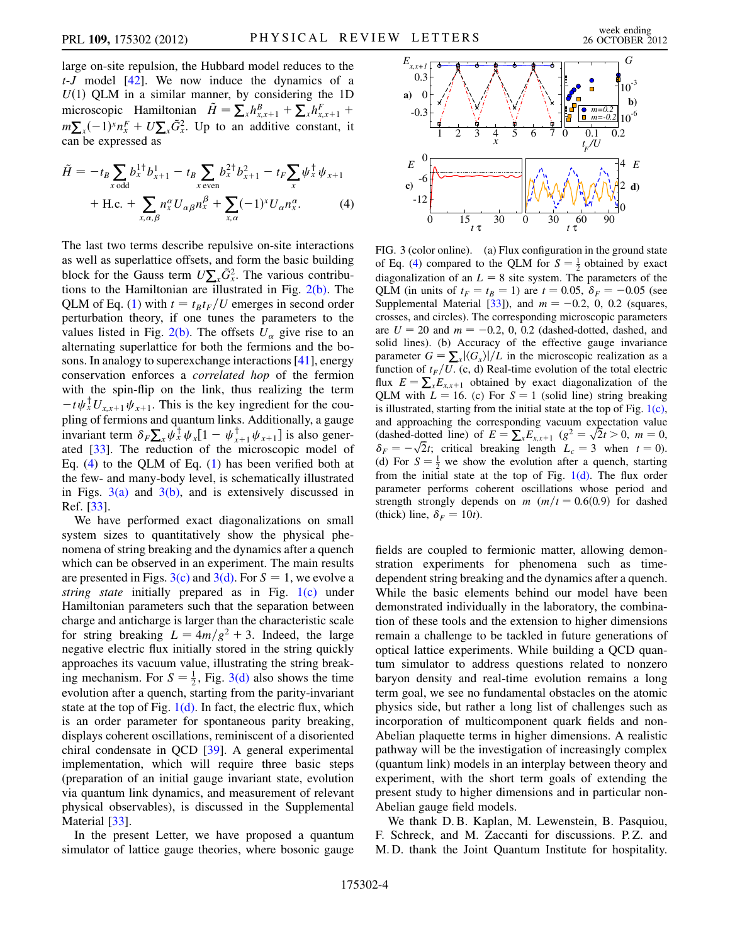large on-site repulsion, the Hubbard model reduces to the  $t-J$  model  $[42]$ . We now induce the dynamics of a  $U(1)$  QLM in a similar manner, by considering the 1D microscopic Hamiltonian  $\tilde{H} = \sum_{x} h_{x,x+1}^B + \sum_{x} h_{x,x+1}^F +$  $m\sum_{x}(-1)^{x}n_{x}^{F} + U\sum_{x}\tilde{G}_{x}^{2}$ . Up to an additive constant, it can be expressed as

<span id="page-3-0"></span>
$$
\tilde{H} = -t_B \sum_{x \text{ odd}} b_x^{1\dagger} b_{x+1}^1 - t_B \sum_{x \text{ even}} b_x^{2\dagger} b_{x+1}^2 - t_F \sum_x \psi_x^{\dagger} \psi_{x+1} + \text{H.c.} + \sum_{x, \alpha, \beta} n_x^{\alpha} U_{\alpha\beta} n_x^{\beta} + \sum_{x, \alpha} (-1)^x U_{\alpha} n_x^{\alpha}.
$$
 (4)

The last two terms describe repulsive on-site interactions as well as superlattice offsets, and form the basic building block for the Gauss term  $U\sum_{x}\tilde{G}_{x}^{2}$ . The various contributions to the Hamiltonian are illustrated in Fig. [2\(b\)](#page-2-2). The QLM of Eq. [\(1](#page-1-1)) with  $t = t_B t_F/U$  emerges in second order perturbation theory, if one tunes the parameters to the values listed in Fig.  $2(b)$ . The offsets  $U_{\alpha}$  give rise to an alternating superlattice for both the fermions and the bosons. In analogy to superexchange interactions [\[41\]](#page-4-27), energy conservation enforces a correlated hop of the fermion with the spin-flip on the link, thus realizing the term  $-t\psi_x^{\mathsf{T}}U_{x,x+1}\psi_{x+1}$ . This is the key ingredient for the coupling of fermions and quantum links. Additionally, a gauge invariant term  $\delta_F \sum_x \psi_x^{\dagger} \psi_x^{\dagger} \left[1 - \psi_{x+1}^{\dagger} \psi_{x+1}^{\dagger}\right]$  is also generated [\[33\]](#page-4-19). The reduction of the microscopic model of Eq.  $(4)$  $(4)$  to the QLM of Eq.  $(1)$  $(1)$  $(1)$  has been verified both at the few- and many-body level, is schematically illustrated in Figs.  $3(a)$  and  $3(b)$ , and is extensively discussed in Ref. [\[33\]](#page-4-19).

We have performed exact diagonalizations on small system sizes to quantitatively show the physical phenomena of string breaking and the dynamics after a quench which can be observed in an experiment. The main results are presented in Figs.  $3(c)$  and  $3(d)$ . For  $S = 1$ , we evolve a string state initially prepared as in Fig.  $1(c)$  under Hamiltonian parameters such that the separation between charge and anticharge is larger than the characteristic scale for string breaking  $L = \frac{4m}{g^2 + 3}$ . Indeed, the large negative electric flux initially stored in the string quickly approaches its vacuum value, illustrating the string breaking mechanism. For  $S = \frac{1}{2}$ , Fig. [3\(d\)](#page-3-1) also shows the time evolution after a quench, starting from the parity-invariant state at the top of Fig.  $1(d)$ . In fact, the electric flux, which is an order parameter for spontaneous parity breaking, displays coherent oscillations, reminiscent of a disoriented chiral condensate in QCD [[39](#page-4-25)]. A general experimental implementation, which will require three basic steps (preparation of an initial gauge invariant state, evolution via quantum link dynamics, and measurement of relevant physical observables), is discussed in the Supplemental Material [\[33\]](#page-4-19).

In the present Letter, we have proposed a quantum simulator of lattice gauge theories, where bosonic gauge



<span id="page-3-1"></span>FIG. 3 (color online). (a) Flux configuration in the ground state of Eq. [\(4](#page-3-0)) compared to the QLM for  $S = \frac{1}{2}$  obtained by exact diagonalization of an  $L = 8$  site system. The parameters of the QLM (in units of  $t_F = t_B = 1$ ) are  $t = 0.05$ ,  $\delta_F = -0.05$  (see Supplemental Material [\[33\]](#page-4-19)), and  $m = -0.2$ , 0, 0.2 (squares, crosses, and circles). The corresponding microscopic parameters are  $U = 20$  and  $m = -0.2$ , 0, 0.2 (dashed-dotted, dashed, and solid lines). (b) Accuracy of the effective gauge invariance parameter  $G = \sum_{x} | \langle G_x \rangle | / L$  in the microscopic realization as a function of  $t_F/U$ . (c, d) Real-time evolution of the total electric flux  $E = \sum_{x} E_{x,x+1}$  obtained by exact diagonalization of the QLM with  $L = 16$ . (c) For  $S = 1$  (solid line) string breaking is illustrated, starting from the initial state at the top of Fig.  $1(c)$ , and approaching the corresponding vacuum expectation value (dashed-dotted line) of  $E = \sum_{x} E_{x,x+1}$  ( $g^2 = \sqrt{2}t > 0$ ,  $m = 0$ ,  $\delta_F = -\sqrt{2}t$ ; critical breaking length  $L_c = 3$  when  $t = 0$ . (d) For  $S = \frac{1}{2}$  we show the evolution after a quench, starting from the initial state at the top of Fig.  $1(d)$ . The flux order parameter performs coherent oscillations whose period and strength strongly depends on  $m (m/t = 0.6(0.9)$  for dashed (thick) line,  $\delta_F = 10t$ ).

fields are coupled to fermionic matter, allowing demonstration experiments for phenomena such as timedependent string breaking and the dynamics after a quench. While the basic elements behind our model have been demonstrated individually in the laboratory, the combination of these tools and the extension to higher dimensions remain a challenge to be tackled in future generations of optical lattice experiments. While building a QCD quantum simulator to address questions related to nonzero baryon density and real-time evolution remains a long term goal, we see no fundamental obstacles on the atomic physics side, but rather a long list of challenges such as incorporation of multicomponent quark fields and non-Abelian plaquette terms in higher dimensions. A realistic pathway will be the investigation of increasingly complex (quantum link) models in an interplay between theory and experiment, with the short term goals of extending the present study to higher dimensions and in particular non-Abelian gauge field models.

We thank D. B. Kaplan, M. Lewenstein, B. Pasquiou, F. Schreck, and M. Zaccanti for discussions. P. Z. and M. D. thank the Joint Quantum Institute for hospitality.